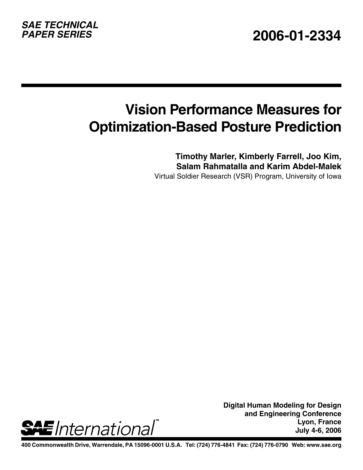# *SAE TECHNICAL*

## **Vision Performance Measures for Optimization-Based Posture Prediction**

**Timothy Marler, Kimberly Farrell, Joo Kim, Salam Rahmatalla and Karim Abdel-Malek**

Virtual Soldier Research (VSR) Program, University of Iowa



**Digital Human Modeling for Design and Engineering Conference Lyon, France July 4-6, 2006**

**400 Commonwealth Drive, Warrendale, PA 15096-0001 U.S.A. Tel: (724) 776-4841 Fax: (724) 776-0790 Web: www.sae.org**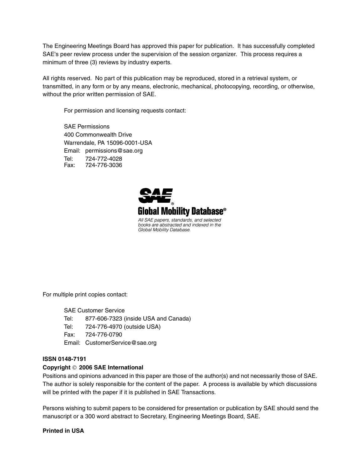The Engineering Meetings Board has approved this paper for publication. It has successfully completed SAE's peer review process under the supervision of the session organizer. This process requires a minimum of three (3) reviews by industry experts.

All rights reserved. No part of this publication may be reproduced, stored in a retrieval system, or transmitted, in any form or by any means, electronic, mechanical, photocopying, recording, or otherwise, without the prior written permission of SAE.

For permission and licensing requests contact:

SAE Permissions 400 Commonwealth Drive Warrendale, PA 15096-0001-USA Email: permissions@sae.org Tel: 724-772-4028 Fax: 724-776-3036



For multiple print copies contact:

SAE Customer Service

- Tel: 877-606-7323 (inside USA and Canada)
- Tel: 724-776-4970 (outside USA)
- Fax: 724-776-0790

Email: CustomerService@sae.org

#### **ISSN 0148-7191**

#### **Copyright** © **2006 SAE International**

Positions and opinions advanced in this paper are those of the author(s) and not necessarily those of SAE. The author is solely responsible for the content of the paper. A process is available by which discussions will be printed with the paper if it is published in SAE Transactions.

Persons wishing to submit papers to be considered for presentation or publication by SAE should send the manuscript or a 300 word abstract to Secretary, Engineering Meetings Board, SAE.

#### **Printed in USA**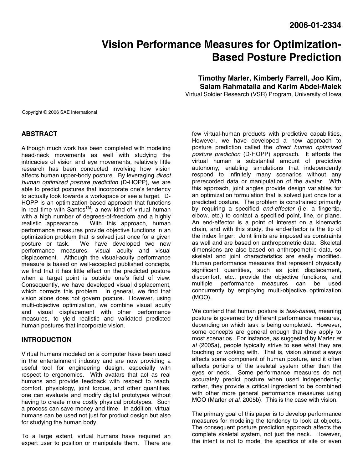### **Vision Performance Measures for Optimization-Based Posture Prediction**

**Timothy Marler, Kimberly Farrell, Joo Kim, Salam Rahmatalla and Karim Abdel-Malek**  Virtual Soldier Research (VSR) Program, University of Iowa

Copyright © 2006 SAE International

#### **ABSTRACT**

Although much work has been completed with modeling head-neck movements as well with studying the intricacies of vision and eye movements, relatively little research has been conducted involving how vision affects human upper-body posture. By leveraging direct human optimized posture prediction (D-HOPP), we are able to predict postures that incorporate one's tendency to actually look towards a workspace or see a target. D-HOPP is an optimization-based approach that functions in real time with Santos™, a new kind of virtual human with a high number of degrees-of-freedom and a highly realistic appearance. With this approach, human With this approach, human performance measures provide objective functions in an optimization problem that is solved just once for a given posture or task. We have developed two new performance measures: visual acuity and visual displacement. Although the visual-acuity performance measure is based on well-accepted published concepts, we find that it has little effect on the predicted posture when a target point is outside one's field of view. Consequently, we have developed visual displacement, which corrects this problem. In general, we find that vision alone does not govern posture. However, using multi-objective optimization, we combine visual acuity and visual displacement with other performance measures, to yield realistic and validated predicted human postures that incorporate vision.

#### **INTRODUCTION**

Virtual humans modeled on a computer have been used in the entertainment industry and are now providing a useful tool for engineering design, especially with respect to ergonomics. With avatars that act as real humans and provide feedback with respect to reach, comfort, physiology, joint torque, and other quantities, one can evaluate and modify digital prototypes without having to create more costly physical prototypes. Such a process can save money and time. In addition, virtual humans can be used not just for product design but also for studying the human body.

To a large extent, virtual humans have required an expert user to position or manipulate them. There are

few virtual-human products with predictive capabilities. However, we have developed a new approach to posture prediction called the direct human optimized posture prediction (D-HOPP) approach. It affords the virtual human a substantial amount of predictive autonomy, enabling simulations that independently respond to infinitely many scenarios without any prerecorded data or manipulation of the avatar. With this approach, joint angles provide design variables for an optimization formulation that is solved just once for a predicted posture. The problem is constrained primarily by requiring a specified *end-effector* (i.e. a fingertip, elbow, etc.) to contact a specified point, line, or plane. An end-effector is a point of interest on a kinematic chain, and with this study, the end-effector is the tip of the index finger. Joint limits are imposed as constraints as well and are based on anthropometric data. Skeletal dimensions are also based on anthropometric data, so skeletal and joint characteristics are easily modified. Human performance measures that represent physically significant quantities, such as joint displacement, discomfort, etc., provide the objective functions, and multiple performance measures can be used concurrently by employing multi-objective optimization (MOO).

We contend that human posture is task-based, meaning posture is governed by different performance measures, depending on which task is being completed. However, some concepts are general enough that they apply to most scenarios. For instance, as suggested by Marler et al (2005a), people typically strive to see what they are touching or working with. That is, vision almost always affects some component of human posture, and it often affects portions of the skeletal system other than the eyes or neck. Some performance measures do not accurately predict posture when used independently; rather, they provide a critical ingredient to be combined with other more general performance measures using MOO (Marler et al, 2005b). This is the case with vision.

The primary goal of this paper is to develop performance measures for modeling the tendency to look at objects. The consequent posture prediction approach affects the complete skeletal system, not just the neck. However, the intent is not to model the specifics of site or even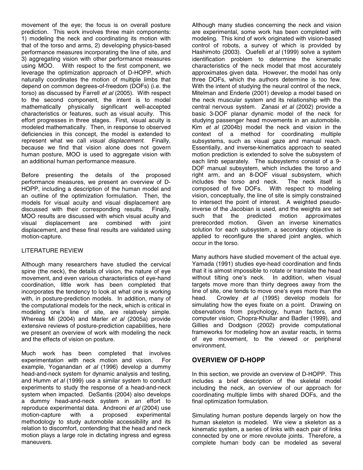movement of the eye; the focus is on overall posture prediction. This work involves three main components: 1) modeling the neck and coordinating its motion with that of the torso and arms, 2) developing physics-based performance measures incorporating the line of site, and 3) aggregating vision with other performance measures using MOO. With respect to the first component, we leverage the optimization approach of D-HOPP, which naturally coordinates the motion of multiple limbs that depend on common degrees-of-freedom (DOFs) (i.e. the torso) as discussed by Farrell et al (2005). With respect to the second component, the intent is to model mathematically physically significant well-accepted characteristics or features, such as visual acuity. This effort progresses in three stages. First, visual acuity is modeled mathematically. Then, in response to observed deficiencies in this concept, the model is extended to represent what we call *visual displacement*. Finally, because we find that vision alone does not govern human posture, MOO is used to aggregate vision with an additional human performance measure.

Before presenting the details of the proposed performance measures, we present an overview of D-HOPP, including a description of the human model and an outline of the optimization formulation. Then, the models for visual acuity and visual displacement are discussed with their corresponding results. Finally, MOO results are discussed with which visual acuity and visual displacement are combined with joint displacement, and these final results are validated using motion-capture.

#### LITERATURE REVIEW

Although many researchers have studied the cervical spine (the neck), the details of vision, the nature of eye movement, and even various characteristics of eye-hand coordination, little work has been completed that incorporates the tendency to look at what one is working with, in posture-prediction models. In addition, many of the computational models for the neck, which is critical in modeling one's line of site, are relatively simple. Whereas Mi (2004) and Marler et al (2005a) provide extensive reviews of posture-prediction capabilities, here we present an overview of work with modeling the neck and the effects of vision on posture.

Much work has been completed that involves experimentation with neck motion and vision. For example, Yoganandan et al (1996) develop a dummy head-and-neck system for dynamic analysis and testing, and Humm et al (1999) use a similar system to conduct experiments to study the response of a head-and-neck system when impacted. DeSantis (2004) also develops a dummy head-and-neck system in an effort to reproduce experimental data. Andreoni et al (2004) use<br>motion-capture with a proposed experimental motion-capture with a methodology to study automobile accessibility and its relation to discomfort, contending that the head and neck motion plays a large role in dictating ingress and egress maneuvers.

Although many studies concerning the neck and vision are experimental, some work has been completed with modeling. This kind of work originated with vision-based control of robots, a survey of which is provided by Hashimoto (2003). Ouefelli et al (1999) solve a system identification problem to determine the kinematic characteristics of the neck model that most accurately approximates given data. However, the model has only three DOFs, which the authors determine is too few. With the intent of studying the neural control of the neck, Mitelman and Enderle (2001) develop a model based on the neck muscular system and its relationship with the central nervous system. Zanasi et al (2002) provide a basic 3-DOF planar dynamic model of the neck for studying passenger head movements in an automobile. Kim et al (2004b) model the neck and vision in the context of a method for coordinating multiple subsystems, such as visual gaze and manual reach. Essentially, and inverse-kinematics approach to seated motion prediction is extended to solve the subsystem of each limb separately. The subsystems consist of a 9- DOF manual subsystem, which includes the torso and right arm, and an 8-DOF visual subsystem, which includes the torso and neck. The neck itself is composed of five DOFs. With respect to modeling vision, conceptually, the line of site is simply constrained to intersect the point of interest. A weighted pseudoinverse of the Jacobian is used, and the weights are set such that the predicted motion approximates prerecorded motion. Given an inverse kinematics solution for each subsystem, a secondary objective is applied to reconfigure the shared joint angles, which occur in the torso.

Many authors have studied movement of the actual eye. Yamada (1991) studies eye-head coordination and finds that it is almost impossible to rotate or translate the head without tilting one's neck. In addition, when visual targets move more than thirty degrees away from the line of site, one tends to move one's eyes more than the head. Crowley et al (1995) develop models for simulating how the eyes fixate on a point. Drawing on observations from psychology, human factors, and computer vision, Chopra-Khullar and Badler (1999), and Gillies and Dodgson (2002) provide computational frameworks for modeling how an avatar reacts, in terms of eye movement, to the viewed or peripheral environment.

#### **OVERVIEW OF D-HOPP**

In this section, we provide an overview of D-HOPP. This includes a brief description of the skeletal model including the neck, an overview of our approach for coordinating multiple limbs with shared DOFs, and the final optimization formulation.

Simulating human posture depends largely on how the human skeleton is modeled. We view a skeleton as a kinematic system, a series of links with each pair of links connected by one or more revolute joints. Therefore, a complete human body can be modeled as several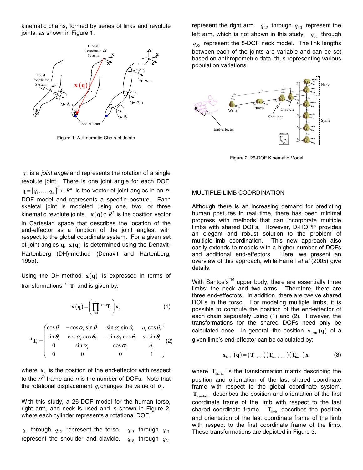kinematic chains, formed by series of links and revolute joints, as shown in Figure 1.



Figure 1: A Kinematic Chain of Joints

 $q_i$  is a *joint angle* and represents the rotation of a single revolute joint. There is one joint angle for each DOF.  $\mathbf{q} = \left[ q_1, \ldots, q_n \right]^T \in R^n$  is the vector of joint angles in an n-DOF model and represents a specific posture. Each skeletal joint is modeled using one, two, or three kinematic revolute joints.  $\mathbf{x}(\mathbf{q}) \in R^3$  is the position vector in Cartesian space that describes the location of the end-effector as a function of the joint angles, with respect to the global coordinate system. For a given set of joint angles  $q$ ,  $x(q)$  is determined using the Denavit-Hartenberg (DH)-method (Denavit and Hartenberg, 1955).

Using the DH-method  $x(q)$  is expressed in terms of transformations *<sup>i</sup>*−<sup>1</sup> **T***i* and is given by:

$$
\mathbf{x}(\mathbf{q}) = \left(\prod_{i=1}^{n} {}^{i-1}\mathbf{T}_i\right) \mathbf{x}_n \tag{1}
$$

$$
{}^{i-1}\mathbf{T}_i = \begin{pmatrix} \cos\theta_i & -\cos\alpha_i\sin\theta_i & \sin\alpha_i\sin\theta_i & a_i\cos\theta_i \\ \sin\theta_i & \cos\alpha_i\cos\theta_i & -\sin\alpha_i\cos\theta_i & a_i\sin\theta_i \\ 0 & \sin\alpha_i & \cos\alpha_i & d_i \\ 0 & 0 & 0 & 1 \end{pmatrix} (2)
$$

where  $x_n$  is the position of the end-effector with respect to the  $n^{\text{th}}$  frame and n is the number of DOFs. Note that the rotational displacement  $q_i$  changes the value of  $\theta_i$ .

With this study, a 26-DOF model for the human torso, right arm, and neck is used and is shown in Figure 2, where each cylinder represents a rotational DOF.

 $q_1$  through  $q_{12}$  represent the torso.  $q_{13}$  through  $q_{17}$ represent the shoulder and clavicle.  $q_{18}$  through  $q_{21}$ 

represent the right arm.  $q_{22}$  through  $q_{30}$  represent the left arm, which is not shown in this study.  $q_{31}$  through  $q_{35}$  represent the 5-DOF neck model. The link lengths between each of the joints are variable and can be set based on anthropometric data, thus representing various population variations.



Figure 2: 26-DOF Kinematic Model

#### MULTIPLE-LIMB COORDINATION

Although there is an increasing demand for predicting human postures in real time, there has been minimal progress with methods that can incorporate multiple limbs with shared DOFs. However, D-HOPP provides an elegant and robust solution to the problem of multiple-limb coordination. This new approach also easily extends to models with a higher number of DOFs and additional end-effectors. Here, we present an overview of this approach, while Farrell et al (2005) give details.

With Santos's™ upper body, there are essentially three limbs: the neck and two arms. Therefore, there are three end-effectors. In addition, there are twelve shared DOFs in the torso. For modeling multiple limbs, it is possible to compute the position of the end-effector of each chain separately using (1) and (2). However, the transformations for the shared DOFs need only be calculated once. In general, the position  $\mathbf{x}_{\text{timb}}(\mathbf{q})$  of a given limb's end-effector can be calculated by:

$$
\mathbf{x}_{\text{limb}}\left(\mathbf{q}\right) = \left(\mathbf{T}_{\text{shared}}\right)\left(\mathbf{T}_{\text{transform}}\right)\left(\mathbf{T}_{\text{limb}}\right)\mathbf{x}_{n} \tag{3}
$$

where  $T_{\text{shared}}$  is the transformation matrix describing the position and orientation of the last shared coordinate frame with respect to the global coordinate system. **T**transform describes the position and orientation of the first coordinate frame of the limb with respect to the last shared coordinate frame.  $T_{\text{limb}}$  describes the position and orientation of the last coordinate frame of the limb with respect to the first coordinate frame of the limb. These transformations are depicted in Figure 3.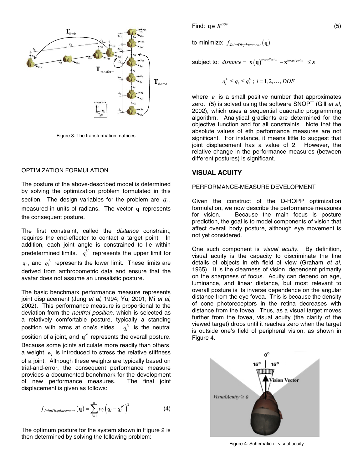

Figure 3: The transformation matrices

#### OPTIMIZATION FORMULATION

The posture of the above-described model is determined by solving the optimization problem formulated in this section. The design variables for the problem are  $q_i$ , measured in units of radians. The vector **q** represents the consequent posture.

The first constraint, called the *distance* constraint, requires the end-effector to contact a target point. In addition, each joint angle is constrained to lie within predetermined limits.  $q_i^U$  represents the upper limit for  $q_i$ , and  $q_i^L$  represents the lower limit. These limits are derived from anthropometric data and ensure that the avatar does not assume an unrealistic posture.

The basic benchmark performance measure represents joint displacement (Jung et al, 1994; Yu, 2001; Mi et al, 2002). This performance measure is proportional to the deviation from the neutral position, which is selected as a relatively comfortable posture, typically a standing position with arms at one's sides.  $q_i^N$  is the neutral position of a joint, and  $q^N$  represents the overall posture. Because some joints articulate more readily than others, a weight  $w_i$  is introduced to stress the relative stiffness of a joint. Although these weights are typically based on trial-and-error, the consequent performance measure provides a documented benchmark for the development of new performance measures. The final joint displacement is given as follows:

$$
f_{JoinDisplacement}(\mathbf{q}) = \sum_{i=1}^{n} w_i (q_i - q_i^N)^2
$$
 (4)

The optimum posture for the system shown in Figure 2 is then determined by solving the following problem:

Find:  $q \in R^{DOF}$  (5)

to minimize:  $f_{Joint Displacement}(\mathbf{q})$ 

subject to: 
$$
distance = \|\mathbf{x}(\mathbf{q})^{\text{end-effector}} - \mathbf{x}^{\text{target point}}\| \leq \varepsilon
$$

$$
q_i^L \le q_i \le q_i^U; \ i = 1, 2, \dots, DOF
$$

where  $\varepsilon$  is a small positive number that approximates zero. (5) is solved using the software SNOPT (Gill et al, 2002), which uses a sequential quadratic programming algorithm. Analytical gradients are determined for the objective function and for all constraints. Note that the absolute values of eth performance measures are not significant. For instance, it means little to suggest that joint displacement has a value of 2. However, the relative change in the performance measures (between different postures) is significant.

#### **VISUAL ACUITY**

#### PERFORMANCE-MEASURE DEVELOPMENT

Given the construct of the D-HOPP optimization formulation, we now describe the performance measures for vision. Because the main focus is posture prediction, the goal is to model components of vision that affect overall body posture, although eye movement is not yet considered.

One such component is *visual acuity*. By definition, visual acuity is the capacity to discriminate the fine details of objects in eth field of view (Graham et al, 1965). It is the clearness of vision, dependent primarily on the sharpness of focus. Acuity can depend on age, luminance, and linear distance, but most relevant to overall posture is its inverse dependence on the angular distance from the eye fovea. This is because the density of cone photoreceptors in the retina decreases with distance from the fovea. Thus, as a visual target moves further from the fovea, visual acuity (the clarity of the viewed target) drops until it reaches zero when the target is outside one's field of peripheral vision, as shown in Figure 4.



Figure 4: Schematic of visual acuity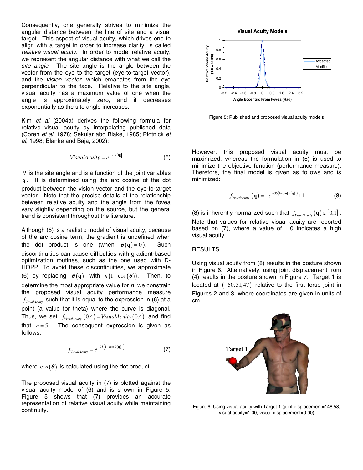Consequently, one generally strives to minimize the angular distance between the line of site and a visual target. This aspect of visual acuity, which drives one to align with a target in order to increase clarity, is called relative visual acuity. In order to model relative acuity, we represent the angular distance with what we call the site angle. The site angle is the angle between the vector from the eye to the target (eye-to-target vector), and the vision vector, which emanates from the eye perpendicular to the face. Relative to the site angle, visual acuity has a maximum value of one when the angle is approximately zero, and it decreases exponentially as the site angle increases.

Kim et al (2004a) derives the following formula for relative visual acuity by interpolating published data (Coren et al, 1978; Sekular abd Blake, 1985; Plotnick et al, 1998; Blanke and Baja, 2002):

$$
VisualActivity = e^{-7|\theta(\mathbf{q})|}
$$
 (6)

 $\theta$  is the site angle and is a function of the joint variables **q** . It is determined using the arc cosine of the dot product between the vision vector and the eye-to-target vector. Note that the precise details of the relationship between relative acuity and the angle from the fovea vary slightly depending on the source, but the general trend is consistent throughout the literature.

Although (6) is a realistic model of visual acuity, because of the arc cosine term, the gradient is undefined when the dot product is one (when  $\theta(\mathbf{q}) = 0$ ). Such discontinuities can cause difficulties with gradient-based optimization routines, such as the one used with D-HOPP. To avoid these discontinuities, we approximate (6) by replacing  $|\theta(\mathbf{q})|$  with  $n(1-\cos(\theta))$ . Then, to determine the most appropriate value for  $n$ , we constrain the proposed visual acuity performance measure  $f_{Visual\alpha\mu}$  such that it is equal to the expression in (6) at a point (a value for theta) where the curve is diagonal. Thus, we set  $f_{VisualActivity}(0.4) = VisualActivity(0.4)$  and find that  $n = 5$ . The consequent expression is given as follows:

$$
f_{VisualActivity} = e^{-35[1 - \cos(\theta(\mathbf{q}))]}
$$
 (7)

where  $cos(\theta)$  is calculated using the dot product.

The proposed visual acuity in (7) is plotted against the visual acuity model of (6) and is shown in Figure 5. Figure 5 shows that (7) provides an accurate representation of relative visual acuity while maintaining continuity.



Figure 5: Published and proposed visual acuity models

However, this proposed visual acuity must be maximized, whereas the formulation in (5) is used to minimize the objective function (performance measure). Therefore, the final model is given as follows and is minimized:

$$
f_{\text{VisualActivity}}\left(\mathbf{q}\right) = -e^{-35\left(1-\cos\left(\theta\left(\mathbf{q}\right)\right)\right)} + 1\tag{8}
$$

(8) is inherently normalized such that  $f_{\text{VisualActivity}}(\mathbf{q}) \in [0,1]$ . Note that values for relative visual acuity are reported based on (7), where a value of 1.0 indicates a high visual acuity.

#### RESULTS

Using visual acuity from (8) results in the posture shown in Figure 6. Alternatively, using joint displacement from (4) results in the posture shown in Figure 7. Target 1 is located at  $(-50,31,47)$  relative to the first torso joint in Figures 2 and 3, where coordinates are given in units of cm.



Figure 6: Using visual acuity with Target 1 (joint displacement=148.58; visual acuity=1.00; visual displacement=0.00)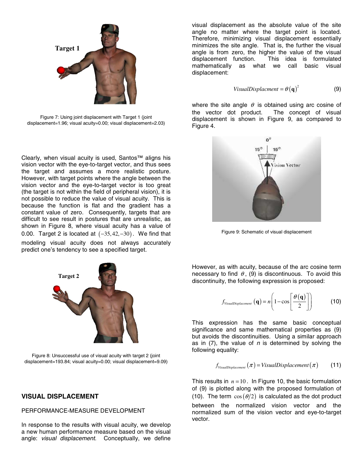

Figure 7: Using joint displacement with Target 1 (joint displacement=1.96; visual acuity=0.00; visual displacement=2.03)

Clearly, when visual acuity is used, Santos™ aligns his vision vector with the eye-to-target vector, and thus sees the target and assumes a more realistic posture. However, with target points where the angle between the vision vector and the eye-to-target vector is too great (the target is not within the field of peripheral vision), it is not possible to reduce the value of visual acuity. This is because the function is flat and the gradient has a constant value of zero. Consequently, targets that are difficult to see result in postures that are unrealistic, as shown in Figure 8, where visual acuity has a value of 0.00. Target 2 is located at  $(-35, 42, -30)$ . We find that modeling visual acuity does not always accurately predict one's tendency to see a specified target.



Figure 8: Unsuccessful use of visual acuity with target 2 (joint displacement=193.84; visual acuity=0.00; visual displacement=9.09)

#### **VISUAL DISPLACEMENT**

#### PERFORMANCE-MEASURE DEVELOPMENT

In response to the results with visual acuity, we develop a new human performance measure based on the visual angle: visual displacement. Conceptually, we define

visual displacement as the absolute value of the site angle no matter where the target point is located. Therefore, minimizing visual displacement essentially minimizes the site angle. That is, the further the visual angle is from zero, the higher the value of the visual displacement function. This idea is formulated mathematically as what we call basic visual displacement:

$$
Visual Displacement = \theta \left( \mathbf{q} \right)^2 \tag{9}
$$

where the site angle  $\theta$  is obtained using arc cosine of the vector dot product. The concept of visual displacement is shown in Figure 9, as compared to Figure 4.



Figure 9: Schematic of visual displacement

However, as with acuity, because of the arc cosine term necessary to find  $\theta$ , (9) is discontinuous. To avoid this discontinuity, the following expression is proposed:

$$
f_{VisualDisplacement}(\mathbf{q}) = n \left( 1 - \cos \left[ \frac{\theta(\mathbf{q})}{2} \right] \right) \tag{10}
$$

This expression has the same basic conceptual significance and same mathematical properties as (9) but avoids the discontinuities. Using a similar approach as in  $(7)$ , the value of n is determined by solving the following equality:

$$
f_{Visual Displacement}(\pi) = VisualDisplacement(\pi)
$$
 (11)

This results in  $n = 10$ . In Figure 10, the basic formulation of (9) is plotted along with the proposed formulation of (10). The term  $\cos(\theta/2)$  is calculated as the dot product between the normalized vision vector and the normalized sum of the vision vector and eye-to-target vector.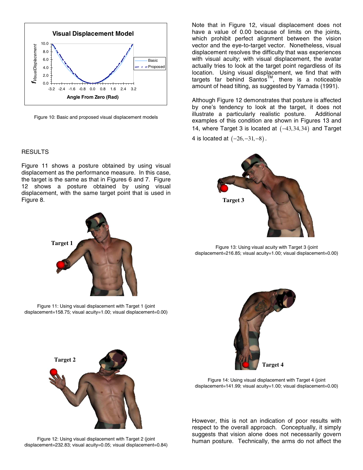

Figure 10: Basic and proposed visual displacement models

#### RESULTS

Figure 11 shows a posture obtained by using visual displacement as the performance measure. In this case, the target is the same as that in Figures 6 and 7. Figure 12 shows a posture obtained by using visual displacement, with the same target point that is used in Figure 8.



Figure 11: Using visual displacement with Target 1 (joint displacement=158.75; visual acuity=1.00; visual displacement=0.00)

Note that in Figure 12, visual displacement does not have a value of 0.00 because of limits on the joints, which prohibit perfect alignment between the vision vector and the eye-to-target vector. Nonetheless, visual displacement resolves the difficulty that was experiences with visual acuity; with visual displacement, the avatar actually tries to look at the target point regardless of its location. Using visual displacement, we find that with targets far behind Santos<sup>TM</sup>, there is a noticeable amount of head tilting, as suggested by Yamada (1991).

Although Figure 12 demonstrates that posture is affected by one's tendency to look at the target, it does not illustrate a particularly realistic posture. Additional examples of this condition are shown in Figures 13 and 14, where Target 3 is located at  $(-43,34,34)$  and Target

4 is located at  $(-26, -31, -8)$ .



Figure 13: Using visual acuity with Target 3 (joint displacement=216.85; visual acuity=1.00; visual displacement=0.00)



Figure 14: Using visual displacement with Target 4 (joint displacement=141.99; visual acuity=1.00; visual displacement=0.00)

However, this is not an indication of poor results with respect to the overall approach. Conceptually, it simply suggests that vision alone does not necessarily govern human posture. Technically, the arms do not affect the



Figure 12: Using visual displacement with Target 2 (joint displacement=232.83; visual acuity=0.05; visual displacement=0.84)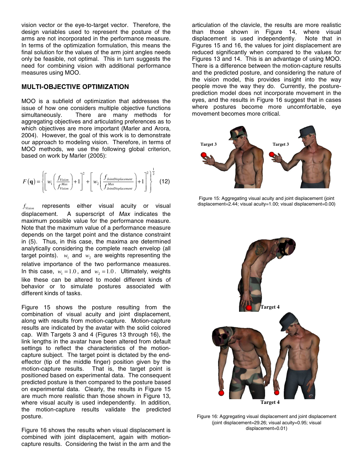vision vector or the eye-to-target vector. Therefore, the design variables used to represent the posture of the arms are not incorporated in the performance measure. In terms of the optimization formulation, this means the final solution for the values of the arm joint angles needs only be feasible, not optimal. This in turn suggests the need for combining vision with additional performance measures using MOO.

#### **MULTI-OBJECTIVE OPTIMIZATION**

MOO is a subfield of optimization that addresses the issue of how one considers multiple objective functions simultaneously. There are many methods for aggregating objectives and articulating preferences as to which objectives are more important (Marler and Arora, 2004). However, the goal of this work is to demonstrate our approach to modeling vision. Therefore, in terms of MOO methods, we use the following global criterion, based on work by Marler (2005):

$$
F(\mathbf{q}) = \left\{ \left[ w_1 \left( \frac{f_{Vision}}{f_{Vision}} \right) + 1 \right]^2 + \left[ w_2 \left( \frac{f_{JoinIDispplacement}}{f_{JoinIDispplacement}} \right) + 1 \right]^2 \right\}^{\frac{1}{2}}
$$
(12)

*Vision f* represents either visual acuity or visual displacement. A superscript of Max indicates the maximum possible value for the performance measure. Note that the maximum value of a performance measure depends on the target point and the distance constraint in (5). Thus, in this case, the maxima are determined analytically considering the complete reach envelop (all target points).  $w_1$  and  $w_2$  are weights representing the relative importance of the two performance measures. In this case,  $w_1 = 1.0$ , and  $w_2 = 1.0$ . Ultimately, weights like these can be altered to model different kinds of behavior or to simulate postures associated with different kinds of tasks.

Figure 15 shows the posture resulting from the combination of visual acuity and joint displacement, along with results from motion-capture. Motion-capture results are indicated by the avatar with the solid colored cap. With Targets 3 and 4 (Figures 13 through 16), the link lengths in the avatar have been altered from default settings to reflect the characteristics of the motioncapture subject. The target point is dictated by the endeffector (tip of the middle finger) position given by the motion-capture results. That is, the target point is positioned based on experimental data. The consequent predicted posture is then compared to the posture based on experimental data. Clearly, the results in Figure 15 are much more realistic than those shown in Figure 13, where visual acuity is used independently. In addition, the motion-capture results validate the predicted posture.

Figure 16 shows the results when visual displacement is combined with joint displacement, again with motioncapture results. Considering the twist in the arm and the

articulation of the clavicle, the results are more realistic than those shown in Figure 14, where visual displacement is used independently. Note that in displacement is used independently. Figures 15 and 16, the values for joint displacement are reduced significantly when compared to the values for Figures 13 and 14. This is an advantage of using MOO. There is a difference between the motion-capture results and the predicted posture, and considering the nature of the vision model, this provides insight into the way people move the way they do. Currently, the postureprediction model does not incorporate movement in the eyes, and the results in Figure 16 suggest that in cases where postures become more uncomfortable, eye movement becomes more critical.



Figure 15: Aggregating visual acuity and joint displacement (joint displacement=2.44; visual acuity=1.00; visual displacement=0.00)



Figure 16: Aggregating visual displacement and joint displacement (joint displacement=29.26; visual acuity=0.95; visual displacement=0.01)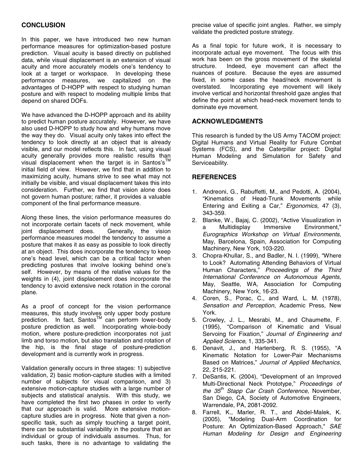In this paper, we have introduced two new human performance measures for optimization-based posture prediction. Visual acuity is based directly on published data, while visual displacement is an extension of visual acuity and more accurately models one's tendency to look at a target or workspace. In developing these performance measures, we capitalized on the advantages of D-HOPP with respect to studying human posture and with respect to modeling multiple limbs that depend on shared DOFs.

We have advanced the D-HOPP approach and its ability to predict human posture accurately. However, we have also used D-HOPP to study how and why humans move the way they do. Visual acuity only takes into effect the tendency to look directly at an object that is already visible, and our model reflects this. In fact, using visual acuity generally provides more realistic results than visual displacement when the target is in Santos's initial field of view. However, we find that in addition to maximizing acuity, humans strive to see what may not initially be visible, and visual displacement takes this into consideration. Further, we find that vision alone does not govern human posture; rather, it provides a valuable component of the final performance measure.

Along these lines, the vision performance measures do not incorporate certain facets of neck movement, while joint displacement does. Generally, the vision performance measures model the tendency to assume a posture that makes it as easy as possible to look directly at an object. This does incorporate the tendency to keep one's head level, which can be a critical factor when predicting postures that involve looking behind one's self. However, by means of the relative values for the weights in (4), joint displacement does incorporate the tendency to avoid extensive neck rotation in the coronal plane.

As a proof of concept for the vision performance measures, this study involves only upper body posture prediction. In fact, Santos™ can perform lower-body posture prediction as well. Incorporating whole-body motion, where posture-prediction incorporates not just limb and torso motion, but also translation and rotation of the hip, is the final stage of posture-prediction development and is currently work in progress.

Validation generally occurs in three stages: 1) subjective validation, 2) basic motion-capture studies with a limited number of subjects for visual comparison, and 3) extensive motion-capture studies with a large number of subjects and statistical analysis. With this study, we have completed the first two phases in order to verify that our approach is valid. More extensive motioncapture studies are in progress. Note that given a nonspecific task, such as simply touching a target point, there can be substantial variability in the posture that an individual or group of individuals assumes. Thus, for such tasks, there is no advantage to validating the

precise value of specific joint angles. Rather, we simply validate the predicted posture strategy.

As a final topic for future work, it is necessary to incorporate actual eye movement. The focus with this work has been on the gross movement of the skeletal structure. Indeed, eye movement can affect the nuances of posture. Because the eyes are assumed fixed, in some cases the head/neck movement is overstated. Incorporating eye movement will likely involve vertical and horizontal threshold gaze angles that define the point at which head-neck movement tends to dominate eye movement.

#### **ACKNOWLEDGMENTS**

This research is funded by the US Army TACOM project: Digital Humans and Virtual Reality for Future Combat Systems (FCS), and the Caterpillar project: Digital Human Modeling and Simulation for Safety and Serviceability.

#### **REFERENCES**

- 1. Andreoni, G., Rabuffetti, M., and Pedotti, A. (2004), "Kinematics of Head-Trunk Movements while Entering and Exiting a Car," Ergonomics, 47 (3), 343-359.
- 2. Blanke, W., Bajaj, C. (2002), "Active Visualization in a Multidisplay Immersive Environment," Eurographics Workshop on Virtual Environments, May, Barcelona, Spain, Association for Computing Machinery, New York, 103-220.
- 3. Chopra-Khullar, S., and Badler, N. I. (1999), "Where to Look? Automating Attending Behaviors of Virtual Human Characters," Proceedings of the Third International Conference on Autonomous Agents, May, Seattle, WA, Association for Computing Machinery, New York, 16-23.
- 4. Coren, S., Porac, C., and Ward, L. M. (1978), Sensation and Perception, Academic Press, New York.
- 5. Crowley, J. L., Mesrabi, M., and Chaumette, F. (1995), "Comparison of Kinematic and Visual Servoing for Fixation," Journal of Engineering and Applied Science, 1, 335-341.
- 6. Denavit, J., and Hartenberg, R. S. (1955), "A Kinematic Notation for Lower-Pair Mechanisms Based on Matrices," Journal of Applied Mechanics, 22, 215-221.
- 7. DeSantis, K. (2004), "Development of an Improved Multi-Directional Neck Prototype," Proceedings of the  $35<sup>th</sup>$  Stapp Car Crash Conference, November, San Diego, CA, Society of Automotive Engineers, Warrendale, PA, 2081-2092.
- 8. Farrell, K., Marler, R. T., and Abdel-Malek, K. (2005), "Modeling Dual-Arm Coordination for Posture: An Optimization-Based Approach," SAE Human Modeling for Design and Engineering